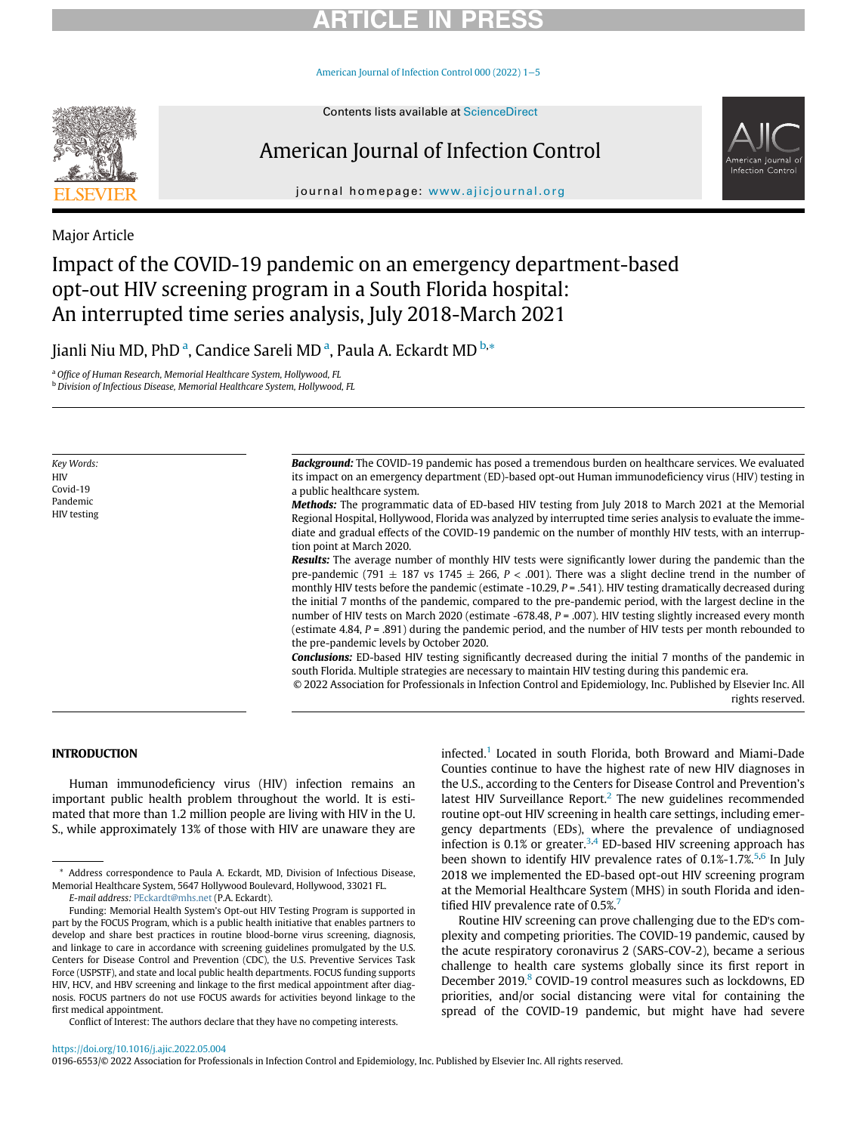# RTICI E IN I

[American Journal of Infection Control 000 \(2022\) 1](https://doi.org/10.1016/j.ajic.2022.05.004)−5



# American Journal of Infection Control



journal homepage: [www.ajicjournal.org](http://www.ajicjournal.org)

Major Article

# Impact of the COVID-19 pandemic on an emergency department-based opt-out HIV screening program in a South Florida hospital: An interrupted time series analysis, July 2018-March 2021

Ji[a](#page-0-0)nli Niu MD, PhD <sup>a</sup>, Candice Sareli MD <sup>a</sup>, Paula A. Eckardt MD <sup>[b,](#page-0-1)</sup>[\\*](#page-0-2)

<span id="page-0-0"></span><sup>a</sup> Office of Human Research, Memorial Healthcare System, Hollywood, FL

<span id="page-0-1"></span>**b** Division of Infectious Disease, Memorial Healthcare System, Hollywood, FL

Key Words: **HIV** Covid-19 Pandemic HIV testing Background: The COVID-19 pandemic has posed a tremendous burden on healthcare services. We evaluated its impact on an emergency department (ED)-based opt-out Human immunodeficiency virus (HIV) testing in a public healthcare system.

Methods: The programmatic data of ED-based HIV testing from July 2018 to March 2021 at the Memorial Regional Hospital, Hollywood, Florida was analyzed by interrupted time series analysis to evaluate the immediate and gradual effects of the COVID-19 pandemic on the number of monthly HIV tests, with an interruption point at March 2020.

Results: The average number of monthly HIV tests were significantly lower during the pandemic than the pre-pandemic (791  $\pm$  187 vs 1745  $\pm$  266, P < .001). There was a slight decline trend in the number of monthly HIV tests before the pandemic (estimate -10.29,  $P = .541$ ). HIV testing dramatically decreased during the initial 7 months of the pandemic, compared to the pre-pandemic period, with the largest decline in the number of HIV tests on March 2020 (estimate -678.48, P = .007). HIV testing slightly increased every month (estimate 4.84, P = .891) during the pandemic period, and the number of HIV tests per month rebounded to the pre-pandemic levels by October 2020.

Conclusions: ED-based HIV testing significantly decreased during the initial 7 months of the pandemic in south Florida. Multiple strategies are necessary to maintain HIV testing during this pandemic era.

© 2022 Association for Professionals in Infection Control and Epidemiology, Inc. Published by Elsevier Inc. All rights reserved.

## INTRODUCTION

Human immunodeficiency virus (HIV) infection remains an important public health problem throughout the world. It is estimated that more than 1.2 million people are living with HIV in the U. S., while approximately 13% of those with HIV are unaware they are

E-mail address: [PEckardt@mhs.net](mailto:PEckardt@mhs.net) (P.A. Eckardt).

Conflict of Interest: The authors declare that they have no competing interests.

infected.<sup>[1](#page-4-0)</sup> Located in south Florida, both Broward and Miami-Dade Counties continue to have the highest rate of new HIV diagnoses in the U.S., according to the Centers for Disease Control and Prevention's latest HIV Surveillance Report. $<sup>2</sup>$  $<sup>2</sup>$  $<sup>2</sup>$  The new guidelines recommended</sup> routine opt-out HIV screening in health care settings, including emergency departments (EDs), where the prevalence of undiagnosed infection is 0.1% or greater.<sup>[3](#page-4-2),[4](#page-4-3)</sup> ED-based HIV screening approach has been shown to identify HIV prevalence rates of  $0.1\%$ -1.7%.<sup>[5](#page-4-4),[6](#page-4-5)</sup> In July 2018 we implemented the ED-based opt-out HIV screening program at the Memorial Healthcare System (MHS) in south Florida and iden-tified HIV prevalence rate of 0.5%.<sup>[7](#page-4-6)</sup>

Routine HIV screening can prove challenging due to the ED's complexity and competing priorities. The COVID-19 pandemic, caused by the acute respiratory coronavirus 2 (SARS-COV-2), became a serious challenge to health care systems globally since its first report in December 2019.<sup>[8](#page-4-7)</sup> COVID-19 control measures such as lockdowns, ED priorities, and/or social distancing were vital for containing the spread of the COVID-19 pandemic, but might have had severe

<https://doi.org/10.1016/j.ajic.2022.05.004>

0196-6553/© 2022 Association for Professionals in Infection Control and Epidemiology, Inc. Published by Elsevier Inc. All rights reserved.

<span id="page-0-2"></span><sup>\*</sup> Address correspondence to Paula A. Eckardt, MD, Division of Infectious Disease, Memorial Healthcare System, 5647 Hollywood Boulevard, Hollywood, 33021 FL.

Funding: Memorial Health System's Opt-out HIV Testing Program is supported in part by the FOCUS Program, which is a public health initiative that enables partners to develop and share best practices in routine blood-borne virus screening, diagnosis, and linkage to care in accordance with screening guidelines promulgated by the U.S. Centers for Disease Control and Prevention (CDC), the U.S. Preventive Services Task Force (USPSTF), and state and local public health departments. FOCUS funding supports HIV, HCV, and HBV screening and linkage to the first medical appointment after diagnosis. FOCUS partners do not use FOCUS awards for activities beyond linkage to the first medical appointment.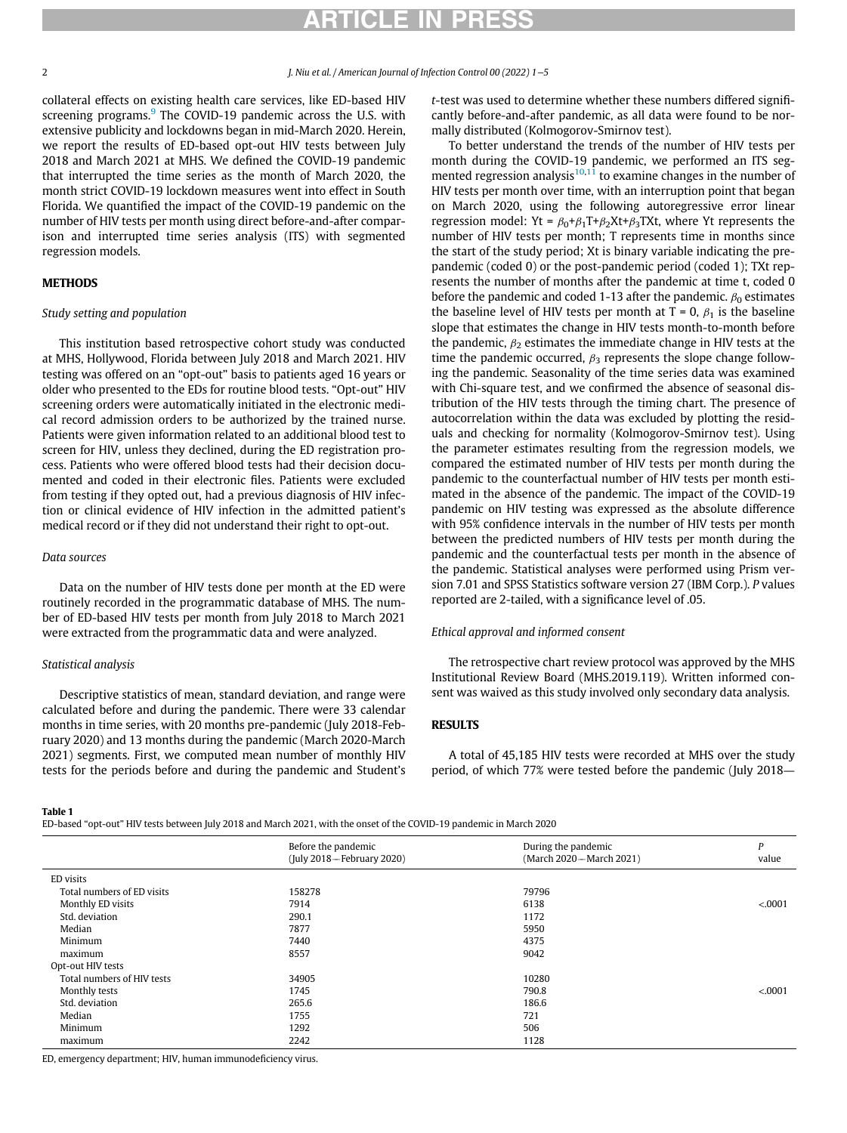# RTICI F IN PR

collateral effects on existing health care services, like ED-based HIV screening programs.<sup>[9](#page-4-8)</sup> The COVID-19 pandemic across the U.S. with extensive publicity and lockdowns began in mid-March 2020. Herein, we report the results of ED-based opt-out HIV tests between July 2018 and March 2021 at MHS. We defined the COVID-19 pandemic that interrupted the time series as the month of March 2020, the month strict COVID-19 lockdown measures went into effect in South Florida. We quantified the impact of the COVID-19 pandemic on the number of HIV tests per month using direct before-and-after comparison and interrupted time series analysis (ITS) with segmented regression models.

## Study setting and population

This institution based retrospective cohort study was conducted at MHS, Hollywood, Florida between July 2018 and March 2021. HIV testing was offered on an "opt-out" basis to patients aged 16 years or older who presented to the EDs for routine blood tests. "Opt-out" HIV screening orders were automatically initiated in the electronic medical record admission orders to be authorized by the trained nurse. Patients were given information related to an additional blood test to screen for HIV, unless they declined, during the ED registration process. Patients who were offered blood tests had their decision documented and coded in their electronic files. Patients were excluded from testing if they opted out, had a previous diagnosis of HIV infection or clinical evidence of HIV infection in the admitted patient's medical record or if they did not understand their right to opt-out.

## Data sources

Data on the number of HIV tests done per month at the ED were routinely recorded in the programmatic database of MHS. The number of ED-based HIV tests per month from July 2018 to March 2021 were extracted from the programmatic data and were analyzed.

## Statistical analysis

Descriptive statistics of mean, standard deviation, and range were calculated before and during the pandemic. There were 33 calendar months in time series, with 20 months pre-pandemic (July 2018-February 2020) and 13 months during the pandemic (March 2020-March 2021) segments. First, we computed mean number of monthly HIV tests for the periods before and during the pandemic and Student's t-test was used to determine whether these numbers differed significantly before-and-after pandemic, as all data were found to be normally distributed (Kolmogorov-Smirnov test).

To better understand the trends of the number of HIV tests per month during the COVID-19 pandemic, we performed an ITS seg-mented regression analysis<sup>[10,](#page-4-9)[11](#page-4-10)</sup> to examine changes in the number of HIV tests per month over time, with an interruption point that began on March 2020, using the following autoregressive error linear regression model: Yt =  $\beta_0 + \beta_1 T + \beta_2 Xt + \beta_3 TXt$ , where Yt represents the number of HIV tests per month; T represents time in months since the start of the study period; Xt is binary variable indicating the prepandemic (coded 0) or the post-pandemic period (coded 1); TXt represents the number of months after the pandemic at time t, coded 0 before the pandemic and coded 1-13 after the pandemic.  $\beta_0$  estimates the baseline level of HIV tests per month at  $T = 0$ ,  $\beta_1$  is the baseline slope that estimates the change in HIV tests month-to-month before the pandemic,  $\beta_2$  estimates the immediate change in HIV tests at the time the pandemic occurred,  $\beta_3$  represents the slope change following the pandemic. Seasonality of the time series data was examined with Chi-square test, and we confirmed the absence of seasonal distribution of the HIV tests through the timing chart. The presence of autocorrelation within the data was excluded by plotting the residuals and checking for normality (Kolmogorov-Smirnov test). Using the parameter estimates resulting from the regression models, we compared the estimated number of HIV tests per month during the pandemic to the counterfactual number of HIV tests per month estimated in the absence of the pandemic. The impact of the COVID-19 pandemic on HIV testing was expressed as the absolute difference with 95% confidence intervals in the number of HIV tests per month between the predicted numbers of HIV tests per month during the pandemic and the counterfactual tests per month in the absence of the pandemic. Statistical analyses were performed using Prism version 7.01 and SPSS Statistics software version 27 (IBM Corp.). P values reported are 2-tailed, with a significance level of .05.

## Ethical approval and informed consent

The retrospective chart review protocol was approved by the MHS Institutional Review Board (MHS.2019.119). Written informed consent was waived as this study involved only secondary data analysis.

A total of 45,185 HIV tests were recorded at MHS over the study period, of which 77% were tested before the pandemic (July 2018—

### <span id="page-1-0"></span>**Table 1**

ED-based "opt-out" HIV tests between July 2018 and March 2021, with the onset of the COVID-19 pandemic in March 2020

|                            | Before the pandemic<br>(July 2018-February 2020) | During the pandemic<br>(March 2020-March 2021) | D<br>value |
|----------------------------|--------------------------------------------------|------------------------------------------------|------------|
|                            |                                                  |                                                |            |
| ED visits                  |                                                  |                                                |            |
| Total numbers of ED visits | 158278                                           | 79796                                          |            |
| Monthly ED visits          | 7914                                             | 6138                                           | < .0001    |
| Std. deviation             | 290.1                                            | 1172                                           |            |
| Median                     | 7877                                             | 5950                                           |            |
| Minimum                    | 7440                                             | 4375                                           |            |
| maximum                    | 8557                                             | 9042                                           |            |
| Opt-out HIV tests          |                                                  |                                                |            |
| Total numbers of HIV tests | 34905                                            | 10280                                          |            |
| Monthly tests              | 1745                                             | 790.8                                          | < .0001    |
| Std. deviation             | 265.6                                            | 186.6                                          |            |
| Median                     | 1755                                             | 721                                            |            |
| Minimum                    | 1292                                             | 506                                            |            |
| maximum                    | 2242                                             | 1128                                           |            |
|                            |                                                  |                                                |            |

ED, emergency department; HIV, human immunodeficiency virus.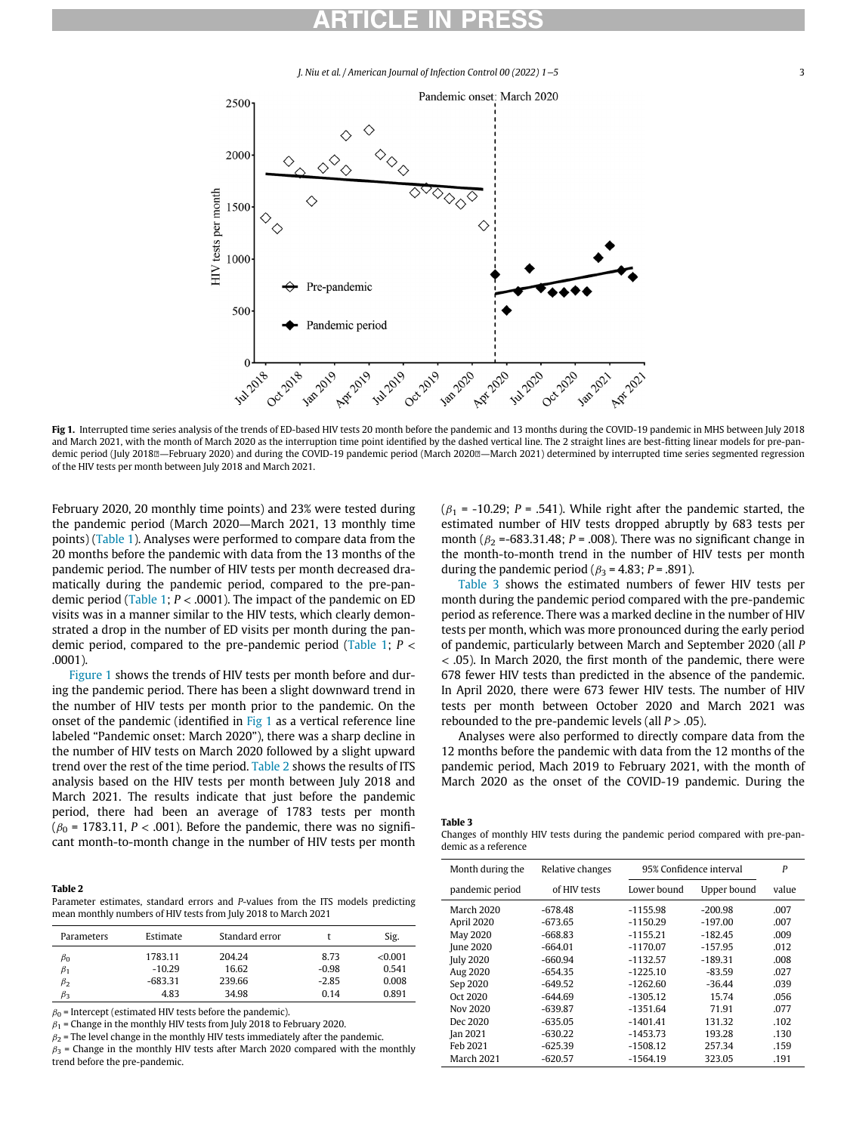# ARTICLE IN PRESS

J. Niu et al. / American Journal of Infection Control 00 (2022) 1−5 3

<span id="page-2-0"></span>

Fig 1. Interrupted time series analysis of the trends of ED-based HIV tests 20 month before the pandemic and 13 months during the COVID-19 pandemic in MHS between July 2018 and March 2021, with the month of March 2020 as the interruption time point identified by the dashed vertical line. The 2 straight lines are best-fitting linear models for pre-pandemic period (July 2018<sup>®</sup>—February 2020) and during the COVID-19 pandemic period (March 2020<sup>®</sup>—March 2021) determined by interrupted time series segmented regression of the HIV tests per month between July 2018 and March 2021.

February 2020, 20 monthly time points) and 23% were tested during the pandemic period (March 2020—March 2021, 13 monthly time points) ([Table 1\)](#page-1-0). Analyses were performed to compare data from the 20 months before the pandemic with data from the 13 months of the pandemic period. The number of HIV tests per month decreased dramatically during the pandemic period, compared to the pre-pan-demic period [\(Table 1](#page-1-0);  $P < .0001$ ). The impact of the pandemic on ED visits was in a manner similar to the HIV tests, which clearly demonstrated a drop in the number of ED visits per month during the pan-demic period, compared to the pre-pandemic period [\(Table 1;](#page-1-0)  $P <$ .0001).

[Figure 1](#page-2-0) shows the trends of HIV tests per month before and during the pandemic period. There has been a slight downward trend in the number of HIV tests per month prior to the pandemic. On the onset of the pandemic (identified in [Fig 1](#page-2-0) as a vertical reference line labeled "Pandemic onset: March 2020"), there was a sharp decline in the number of HIV tests on March 2020 followed by a slight upward trend over the rest of the time period. [Table 2](#page-2-1) shows the results of ITS analysis based on the HIV tests per month between July 2018 and March 2021. The results indicate that just before the pandemic period, there had been an average of 1783 tests per month ( $\beta_0$  = 1783.11, P < .001). Before the pandemic, there was no significant month-to-month change in the number of HIV tests per month

### <span id="page-2-2"></span><span id="page-2-1"></span>**Table 2** ------ -<br>Parameter estimates, standard errors and *P*-values from the ITS models predicting mean monthly numbers of HIV tests from July 2018 to March 2021

| <b>Parameters</b> | Estimate  | Standard error |         | Sig.    |
|-------------------|-----------|----------------|---------|---------|
| $\beta_0$         | 1783.11   | 204.24         | 8.73    | < 0.001 |
| $\beta_1$         | $-10.29$  | 16.62          | $-0.98$ | 0.541   |
| $\beta_2$         | $-683.31$ | 239.66         | $-2.85$ | 0.008   |
| ßз                | 4.83      | 34.98          | 0.14    | 0.891   |

 $\beta_0$  = Intercept (estimated HIV tests before the pandemic).

 $\beta_1$  = Change in the monthly HIV tests from July 2018 to February 2020.

 $\beta_2$  = The level change in the monthly HIV tests immediately after the pandemic.  $\beta_3$  = Change in the monthly HIV tests after March 2020 compared with the monthly trend before the pre-pandemic.

( $\beta_1$  = -10.29; P = .541). While right after the pandemic started, the estimated number of HIV tests dropped abruptly by 683 tests per month ( $\beta$ <sub>2</sub> =-683.31.48; P = .008). There was no significant change in the month-to-month trend in the number of HIV tests per month during the pandemic period ( $\beta_3$  = 4.83; P = .891).

[Table 3](#page-2-2) shows the estimated numbers of fewer HIV tests per month during the pandemic period compared with the pre-pandemic period as reference. There was a marked decline in the number of HIV tests per month, which was more pronounced during the early period of pandemic, particularly between March and September 2020 (all P < .05). In March 2020, the first month of the pandemic, there were 678 fewer HIV tests than predicted in the absence of the pandemic. In April 2020, there were 673 fewer HIV tests. The number of HIV tests per month between October 2020 and March 2021 was rebounded to the pre-pandemic levels (all  $P > .05$ ).

Analyses were also performed to directly compare data from the 12 months before the pandemic with data from the 12 months of the pandemic period, Mach 2019 to February 2021, with the month of March 2020 as the onset of the COVID-19 pandemic. During the

Changes of monthly HIV tests during the pandemic period compared with pre-pandemic as a reference

| Month during the | Relative changes | 95% Confidence interval |             | $\boldsymbol{P}$ |
|------------------|------------------|-------------------------|-------------|------------------|
| pandemic period  | of HIV tests     | Lower bound             | Upper bound | value            |
| March 2020       | $-678.48$        | $-1155.98$              | $-200.98$   | .007             |
| April 2020       | $-673.65$        | $-1150.29$              | $-197.00$   | .007             |
| May 2020         | $-668.83$        | $-1155.21$              | $-182.45$   | .009             |
| June 2020        | $-664.01$        | $-1170.07$              | $-157.95$   | .012             |
| <b>July 2020</b> | $-660.94$        | $-1132.57$              | $-189.31$   | .008             |
| Aug 2020         | $-654.35$        | $-1225.10$              | $-83.59$    | .027             |
| Sep 2020         | $-649.52$        | $-1262.60$              | $-36.44$    | .039             |
| Oct 2020         | $-644.69$        | $-1305.12$              | 15.74       | .056             |
| Nov 2020         | $-639.87$        | $-1351.64$              | 71.91       | .077             |
| Dec 2020         | $-635.05$        | $-1401.41$              | 131.32      | .102             |
| Jan 2021         | $-630.22$        | $-1453.73$              | 193.28      | .130             |
| Feb 2021         | $-625.39$        | $-1508.12$              | 257.34      | .159             |
| March 2021       | $-620.57$        | $-1564.19$              | 323.05      | .191             |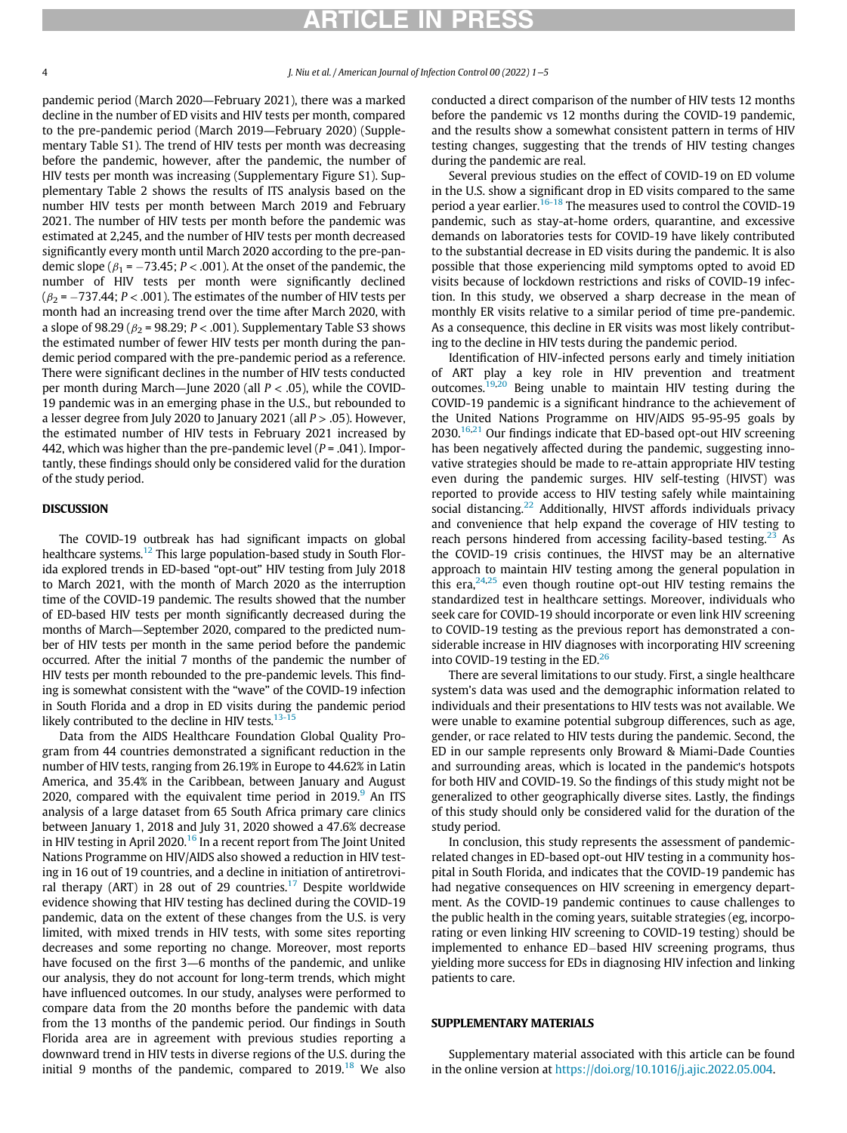# ARTICLE IN PRES

## 4 J. Niu et al. / American Journal of Infection Control 00 (2022) 1−5

pandemic period (March 2020—February 2021), there was a marked decline in the number of ED visits and HIV tests per month, compared to the pre-pandemic period (March 2019—February 2020) (Supplementary Table S1). The trend of HIV tests per month was decreasing before the pandemic, however, after the pandemic, the number of HIV tests per month was increasing (Supplementary Figure S1). Supplementary Table 2 shows the results of ITS analysis based on the number HIV tests per month between March 2019 and February 2021. The number of HIV tests per month before the pandemic was estimated at 2,245, and the number of HIV tests per month decreased significantly every month until March 2020 according to the pre-pandemic slope ( $\beta_1$  = -73.45; P < .001). At the onset of the pandemic, the number of HIV tests per month were significantly declined  $(\beta_2 = -737.44; P < .001)$ . The estimates of the number of HIV tests per month had an increasing trend over the time after March 2020, with a slope of 98.29 ( $\beta_2$  = 98.29; P < .001). Supplementary Table S3 shows the estimated number of fewer HIV tests per month during the pandemic period compared with the pre-pandemic period as a reference. There were significant declines in the number of HIV tests conducted per month during March—June 2020 (all  $P < .05$ ), while the COVID-19 pandemic was in an emerging phase in the U.S., but rebounded to a lesser degree from July 2020 to January 2021 (all  $P > .05$ ). However, the estimated number of HIV tests in February 2021 increased by 442, which was higher than the pre-pandemic level ( $P = .041$ ). Importantly, these findings should only be considered valid for the duration of the study period.

The COVID-19 outbreak has had significant impacts on global healthcare systems.<sup>[12](#page-4-11)</sup> This large population-based study in South Florida explored trends in ED-based "opt-out" HIV testing from July 2018 to March 2021, with the month of March 2020 as the interruption time of the COVID-19 pandemic. The results showed that the number of ED-based HIV tests per month significantly decreased during the months of March—September 2020, compared to the predicted number of HIV tests per month in the same period before the pandemic occurred. After the initial 7 months of the pandemic the number of HIV tests per month rebounded to the pre-pandemic levels. This finding is somewhat consistent with the "wave" of the COVID-19 infection in South Florida and a drop in ED visits during the pandemic period likely contributed to the decline in HIV tests. $13-15$ 

Data from the AIDS Healthcare Foundation Global Quality Program from 44 countries demonstrated a significant reduction in the number of HIV tests, ranging from 26.19% in Europe to 44.62% in Latin America, and 35.4% in the Caribbean, between January and August 2020, compared with the equivalent time period in  $2019$  $2019$ . An ITS analysis of a large dataset from 65 South Africa primary care clinics between January 1, 2018 and July 31, 2020 showed a 47.6% decrease in HIV testing in April 2020.<sup>[16](#page-4-13)</sup> In a recent report from The Joint United Nations Programme on HIV/AIDS also showed a reduction in HIV testing in 16 out of 19 countries, and a decline in initiation of antiretrovi-ral therapy (ART) in 28 out of 29 countries.<sup>[17](#page-4-14)</sup> Despite worldwide evidence showing that HIV testing has declined during the COVID-19 pandemic, data on the extent of these changes from the U.S. is very limited, with mixed trends in HIV tests, with some sites reporting decreases and some reporting no change. Moreover, most reports have focused on the first 3—6 months of the pandemic, and unlike our analysis, they do not account for long-term trends, which might have influenced outcomes. In our study, analyses were performed to compare data from the 20 months before the pandemic with data from the 13 months of the pandemic period. Our findings in South Florida area are in agreement with previous studies reporting a downward trend in HIV tests in diverse regions of the U.S. during the initial 9 months of the pandemic, compared to  $2019$ <sup>[18](#page-4-15)</sup> We also conducted a direct comparison of the number of HIV tests 12 months before the pandemic vs 12 months during the COVID-19 pandemic, and the results show a somewhat consistent pattern in terms of HIV testing changes, suggesting that the trends of HIV testing changes during the pandemic are real.

Several previous studies on the effect of COVID-19 on ED volume in the U.S. show a significant drop in ED visits compared to the same period a year earlier.<sup>[16-18](#page-4-13)</sup> The measures used to control the COVID-19 pandemic, such as stay-at-home orders, quarantine, and excessive demands on laboratories tests for COVID-19 have likely contributed to the substantial decrease in ED visits during the pandemic. It is also possible that those experiencing mild symptoms opted to avoid ED visits because of lockdown restrictions and risks of COVID-19 infection. In this study, we observed a sharp decrease in the mean of monthly ER visits relative to a similar period of time pre-pandemic. As a consequence, this decline in ER visits was most likely contributing to the decline in HIV tests during the pandemic period.

Identification of HIV-infected persons early and timely initiation of ART play a key role in HIV prevention and treatment outcomes.<sup>[19](#page-4-16),[20](#page-4-17)</sup> Being unable to maintain HIV testing during the COVID-19 pandemic is a significant hindrance to the achievement of the United Nations Programme on HIV/AIDS 95-95-95 goals by 2030.<sup>[16](#page-4-13)[,21](#page-4-18)</sup> Our findings indicate that ED-based opt-out HIV screening has been negatively affected during the pandemic, suggesting innovative strategies should be made to re-attain appropriate HIV testing even during the pandemic surges. HIV self-testing (HIVST) was reported to provide access to HIV testing safely while maintaining social distancing. $22$  Additionally, HIVST affords individuals privacy and convenience that help expand the coverage of HIV testing to reach persons hindered from accessing facility-based testing.<sup>[23](#page-4-20)</sup> As the COVID-19 crisis continues, the HIVST may be an alternative approach to maintain HIV testing among the general population in this era, $24,25$  $24,25$  even though routine opt-out HIV testing remains the standardized test in healthcare settings. Moreover, individuals who seek care for COVID-19 should incorporate or even link HIV screening to COVID-19 testing as the previous report has demonstrated a considerable increase in HIV diagnoses with incorporating HIV screening into COVID-19 testing in the ED. $^{26}$  $^{26}$  $^{26}$ 

There are several limitations to our study. First, a single healthcare system's data was used and the demographic information related to individuals and their presentations to HIV tests was not available. We were unable to examine potential subgroup differences, such as age, gender, or race related to HIV tests during the pandemic. Second, the ED in our sample represents only Broward & Miami-Dade Counties and surrounding areas, which is located in the pandemic's hotspots for both HIV and COVID-19. So the findings of this study might not be generalized to other geographically diverse sites. Lastly, the findings of this study should only be considered valid for the duration of the study period.

In conclusion, this study represents the assessment of pandemicrelated changes in ED-based opt-out HIV testing in a community hospital in South Florida, and indicates that the COVID-19 pandemic has had negative consequences on HIV screening in emergency department. As the COVID-19 pandemic continues to cause challenges to the public health in the coming years, suitable strategies (eg, incorporating or even linking HIV screening to COVID-19 testing) should be implemented to enhance ED-based HIV screening programs, thus yielding more success for EDs in diagnosing HIV infection and linking patients to care.

Supplementary material associated with this article can be found in the online version at [https://doi.org/10.1016/j.ajic.2022.05.004.](https://doi.org/10.1016/j.ajic.2022.05.004)